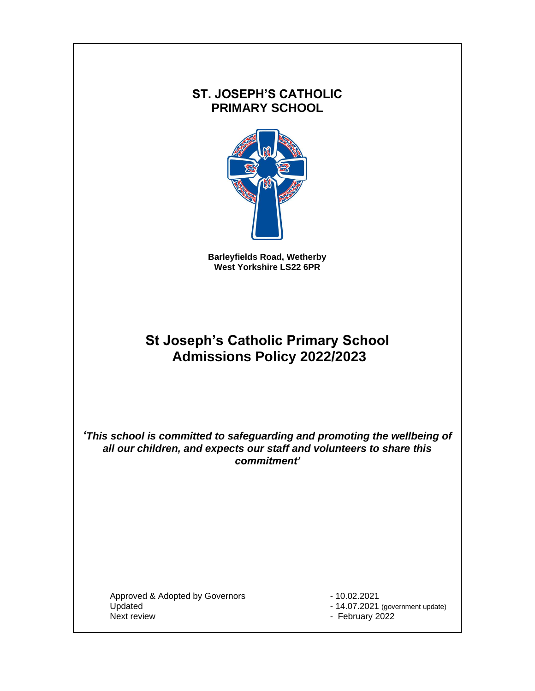# **ST. JOSEPH'S CATHOLIC PRIMARY SCHOOL**



**Barleyfields Road, Wetherby West Yorkshire LS22 6PR**

# **St Joseph's Catholic Primary School Admissions Policy 2022/2023**

*'This school is committed to safeguarding and promoting the wellbeing of all our children, and expects our staff and volunteers to share this commitment'*

Approved & Adopted by Governors - 10.02.2021 Updated - 14.07.2021 (government update)<br>Next review - 14.07.2021 (government update)

- February 2022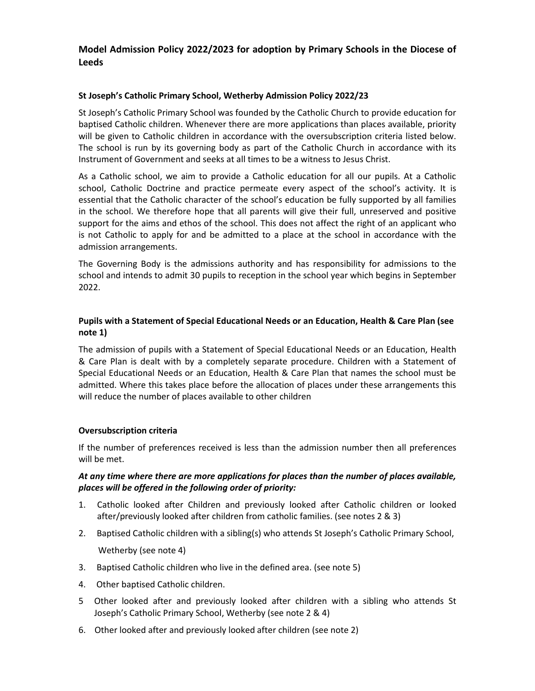### **Model Admission Policy 2022/2023 for adoption by Primary Schools in the Diocese of Leeds**

#### **St Joseph's Catholic Primary School, Wetherby Admission Policy 2022/23**

St Joseph's Catholic Primary School was founded by the Catholic Church to provide education for baptised Catholic children. Whenever there are more applications than places available, priority will be given to Catholic children in accordance with the oversubscription criteria listed below. The school is run by its governing body as part of the Catholic Church in accordance with its Instrument of Government and seeks at all times to be a witness to Jesus Christ.

As a Catholic school, we aim to provide a Catholic education for all our pupils. At a Catholic school, Catholic Doctrine and practice permeate every aspect of the school's activity. It is essential that the Catholic character of the school's education be fully supported by all families in the school. We therefore hope that all parents will give their full, unreserved and positive support for the aims and ethos of the school. This does not affect the right of an applicant who is not Catholic to apply for and be admitted to a place at the school in accordance with the admission arrangements.

The Governing Body is the admissions authority and has responsibility for admissions to the school and intends to admit 30 pupils to reception in the school year which begins in September 2022.

#### **Pupils with a Statement of Special Educational Needs or an Education, Health & Care Plan (see note 1)**

The admission of pupils with a Statement of Special Educational Needs or an Education, Health & Care Plan is dealt with by a completely separate procedure. Children with a Statement of Special Educational Needs or an Education, Health & Care Plan that names the school must be admitted. Where this takes place before the allocation of places under these arrangements this will reduce the number of places available to other children

#### **Oversubscription criteria**

If the number of preferences received is less than the admission number then all preferences will be met.

#### *At any time where there are more applications for places than the number of places available, places will be offered in the following order of priority:*

- 1. Catholic looked after Children and previously looked after Catholic children or looked after/previously looked after children from catholic families. (see notes 2 & 3)
- 2. Baptised Catholic children with a sibling(s) who attends St Joseph's Catholic Primary School, Wetherby (see note 4)
- 3. Baptised Catholic children who live in the defined area. (see note 5)
- 4. Other baptised Catholic children.
- 5 Other looked after and previously looked after children with a sibling who attends St Joseph's Catholic Primary School, Wetherby (see note 2 & 4)
- 6. Other looked after and previously looked after children (see note 2)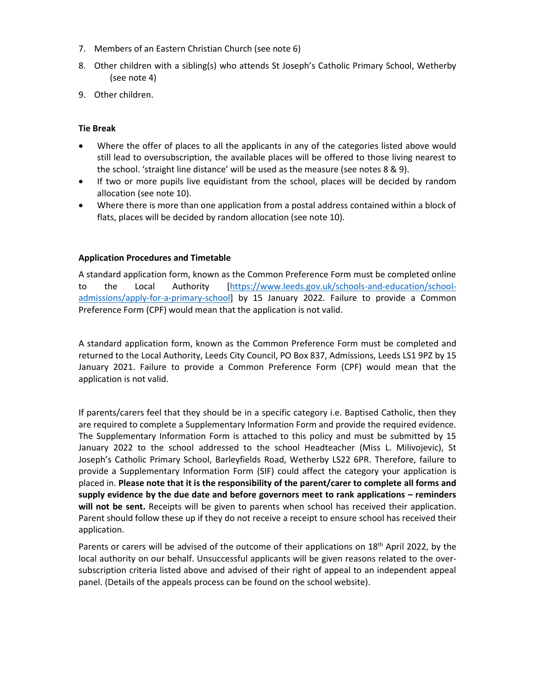- 7. Members of an Eastern Christian Church (see note 6)
- 8. Other children with a sibling(s) who attends St Joseph's Catholic Primary School, Wetherby (see note 4)
- 9. Other children.

#### **Tie Break**

- Where the offer of places to all the applicants in any of the categories listed above would still lead to oversubscription, the available places will be offered to those living nearest to the school. 'straight line distance' will be used as the measure (see notes 8 & 9).
- If two or more pupils live equidistant from the school, places will be decided by random allocation (see note 10).
- Where there is more than one application from a postal address contained within a block of flats, places will be decided by random allocation (see note 10).

#### **Application Procedures and Timetable**

A standard application form, known as the Common Preference Form must be completed online to the Local Authority [\[https://www.leeds.gov.uk/schools-and-education/school](https://www.leeds.gov.uk/schools-and-education/school-admissions/apply-for-a-primary-school)[admissions/apply-for-a-primary-school\]](https://www.leeds.gov.uk/schools-and-education/school-admissions/apply-for-a-primary-school) by 15 January 2022. Failure to provide a Common Preference Form (CPF) would mean that the application is not valid.

A standard application form, known as the Common Preference Form must be completed and returned to the Local Authority, Leeds City Council, PO Box 837, Admissions, Leeds LS1 9PZ by 15 January 2021. Failure to provide a Common Preference Form (CPF) would mean that the application is not valid.

If parents/carers feel that they should be in a specific category i.e. Baptised Catholic, then they are required to complete a Supplementary Information Form and provide the required evidence. The Supplementary Information Form is attached to this policy and must be submitted by 15 January 2022 to the school addressed to the school Headteacher (Miss L. Milivojevic), St Joseph's Catholic Primary School, Barleyfields Road, Wetherby LS22 6PR. Therefore, failure to provide a Supplementary Information Form (SIF) could affect the category your application is placed in. **Please note that it is the responsibility of the parent/carer to complete all forms and supply evidence by the due date and before governors meet to rank applications – reminders will not be sent.** Receipts will be given to parents when school has received their application. Parent should follow these up if they do not receive a receipt to ensure school has received their application.

Parents or carers will be advised of the outcome of their applications on 18<sup>th</sup> April 2022, by the local authority on our behalf. Unsuccessful applicants will be given reasons related to the oversubscription criteria listed above and advised of their right of appeal to an independent appeal panel. (Details of the appeals process can be found on the school website).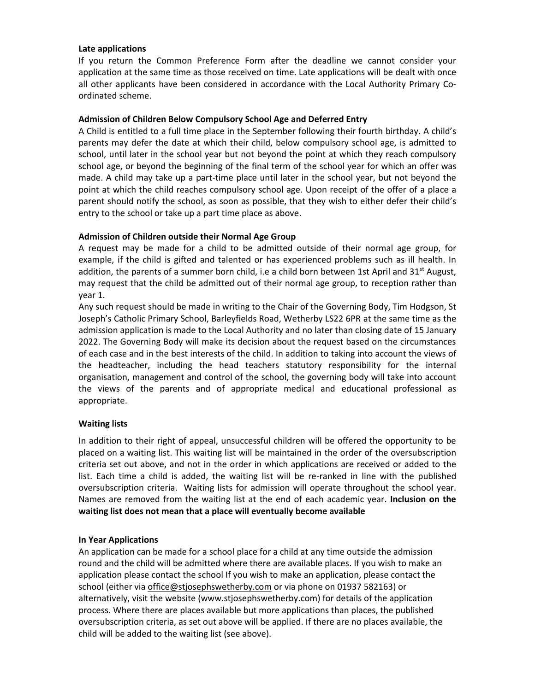#### **Late applications**

If you return the Common Preference Form after the deadline we cannot consider your application at the same time as those received on time. Late applications will be dealt with once all other applicants have been considered in accordance with the Local Authority Primary Coordinated scheme.

#### **Admission of Children Below Compulsory School Age and Deferred Entry**

A Child is entitled to a full time place in the September following their fourth birthday. A child's parents may defer the date at which their child, below compulsory school age, is admitted to school, until later in the school year but not beyond the point at which they reach compulsory school age, or beyond the beginning of the final term of the school year for which an offer was made. A child may take up a part-time place until later in the school year, but not beyond the point at which the child reaches compulsory school age. Upon receipt of the offer of a place a parent should notify the school, as soon as possible, that they wish to either defer their child's entry to the school or take up a part time place as above.

#### **Admission of Children outside their Normal Age Group**

A request may be made for a child to be admitted outside of their normal age group, for example, if the child is gifted and talented or has experienced problems such as ill health. In addition, the parents of a summer born child, i.e a child born between 1st April and  $31^{st}$  August, may request that the child be admitted out of their normal age group, to reception rather than year 1.

Any such request should be made in writing to the Chair of the Governing Body, Tim Hodgson, St Joseph's Catholic Primary School, Barleyfields Road, Wetherby LS22 6PR at the same time as the admission application is made to the Local Authority and no later than closing date of 15 January 2022. The Governing Body will make its decision about the request based on the circumstances of each case and in the best interests of the child. In addition to taking into account the views of the headteacher, including the head teachers statutory responsibility for the internal organisation, management and control of the school, the governing body will take into account the views of the parents and of appropriate medical and educational professional as appropriate.

#### **Waiting lists**

In addition to their right of appeal, unsuccessful children will be offered the opportunity to be placed on a waiting list. This waiting list will be maintained in the order of the oversubscription criteria set out above, and not in the order in which applications are received or added to the list. Each time a child is added, the waiting list will be re-ranked in line with the published oversubscription criteria. Waiting lists for admission will operate throughout the school year. Names are removed from the waiting list at the end of each academic year. **Inclusion on the waiting list does not mean that a place will eventually become available**

#### **In Year Applications**

An application can be made for a school place for a child at any time outside the admission round and the child will be admitted where there are available places. If you wish to make an application please contact the school If you wish to make an application, please contact the school (either via [office@stjosephswetherby.com](mailto:office@stjosephswetherby.com) or via phone on 01937 582163) or alternatively, visit the website (www.stjosephswetherby.com) for details of the application process. Where there are places available but more applications than places, the published oversubscription criteria, as set out above will be applied. If there are no places available, the child will be added to the waiting list (see above).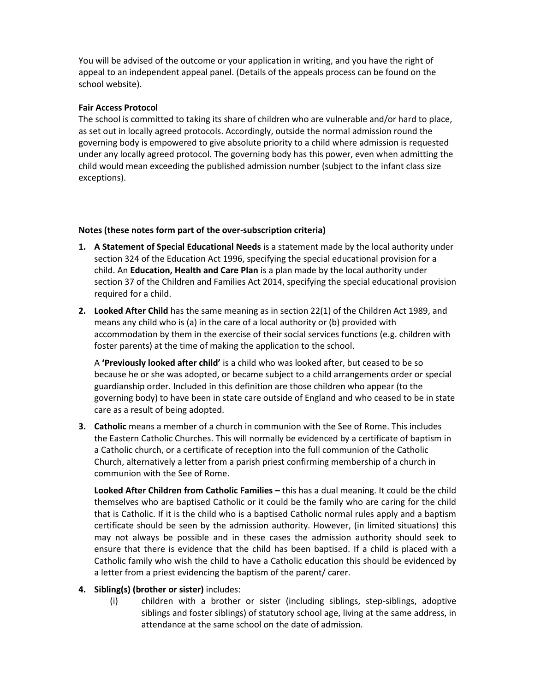You will be advised of the outcome or your application in writing, and you have the right of appeal to an independent appeal panel. (Details of the appeals process can be found on the school website).

#### **Fair Access Protocol**

The school is committed to taking its share of children who are vulnerable and/or hard to place, as set out in locally agreed protocols. Accordingly, outside the normal admission round the governing body is empowered to give absolute priority to a child where admission is requested under any locally agreed protocol. The governing body has this power, even when admitting the child would mean exceeding the published admission number (subject to the infant class size exceptions).

#### **Notes (these notes form part of the over-subscription criteria)**

- **1. A Statement of Special Educational Needs** is a statement made by the local authority under section 324 of the Education Act 1996, specifying the special educational provision for a child. An **Education, Health and Care Plan** is a plan made by the local authority under section 37 of the Children and Families Act 2014, specifying the special educational provision required for a child.
- **2. Looked After Child** has the same meaning as in section 22(1) of the Children Act 1989, and means any child who is (a) in the care of a local authority or (b) provided with accommodation by them in the exercise of their social services functions (e.g. children with foster parents) at the time of making the application to the school.

A **'Previously looked after child'** is a child who was looked after, but ceased to be so because he or she was adopted, or became subject to a child arrangements order or special guardianship order. Included in this definition are those children who appear (to the governing body) to have been in state care outside of England and who ceased to be in state care as a result of being adopted.

**3. Catholic** means a member of a church in communion with the See of Rome. This includes the Eastern Catholic Churches. This will normally be evidenced by a certificate of baptism in a Catholic church, or a certificate of reception into the full communion of the Catholic Church, alternatively a letter from a parish priest confirming membership of a church in communion with the See of Rome.

**Looked After Children from Catholic Families –** this has a dual meaning. It could be the child themselves who are baptised Catholic or it could be the family who are caring for the child that is Catholic. If it is the child who is a baptised Catholic normal rules apply and a baptism certificate should be seen by the admission authority. However, (in limited situations) this may not always be possible and in these cases the admission authority should seek to ensure that there is evidence that the child has been baptised. If a child is placed with a Catholic family who wish the child to have a Catholic education this should be evidenced by a letter from a priest evidencing the baptism of the parent/ carer.

#### **4. Sibling(s) (brother or sister)** includes:

(i) children with a brother or sister (including siblings, step-siblings, adoptive siblings and foster siblings) of statutory school age, living at the same address, in attendance at the same school on the date of admission.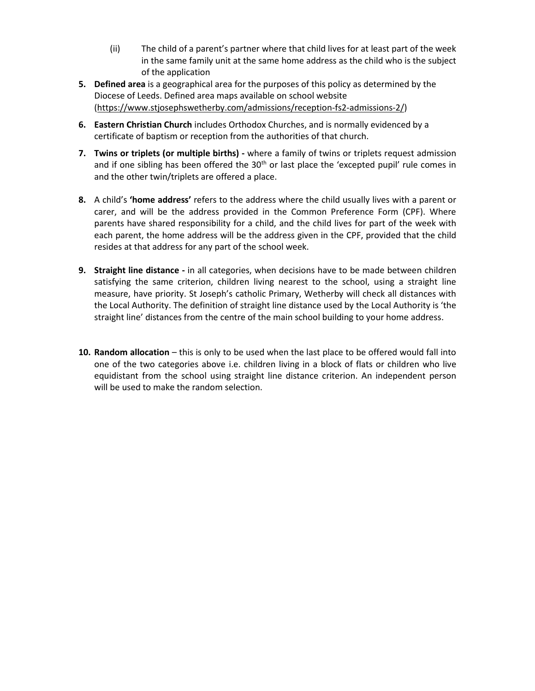- (ii) The child of a parent's partner where that child lives for at least part of the week in the same family unit at the same home address as the child who is the subject of the application
- **5. Defined area** is a geographical area for the purposes of this policy as determined by the Diocese of Leeds. Defined area maps available on school website [\(https://www.stjosephswetherby.com/admissions/reception-fs2-admissions-2/\)](https://www.stjosephswetherby.com/admissions/reception-fs2-admissions-2/)
- **6. Eastern Christian Church** includes Orthodox Churches, and is normally evidenced by a certificate of baptism or reception from the authorities of that church.
- **7. Twins or triplets (or multiple births) -** where a family of twins or triplets request admission and if one sibling has been offered the  $30<sup>th</sup>$  or last place the 'excepted pupil' rule comes in and the other twin/triplets are offered a place.
- **8.** A child's **'home address'** refers to the address where the child usually lives with a parent or carer, and will be the address provided in the Common Preference Form (CPF). Where parents have shared responsibility for a child, and the child lives for part of the week with each parent, the home address will be the address given in the CPF, provided that the child resides at that address for any part of the school week.
- **9. Straight line distance -** in all categories, when decisions have to be made between children satisfying the same criterion, children living nearest to the school, using a straight line measure, have priority. St Joseph's catholic Primary, Wetherby will check all distances with the Local Authority. The definition of straight line distance used by the Local Authority is 'the straight line' distances from the centre of the main school building to your home address.
- **10. Random allocation** this is only to be used when the last place to be offered would fall into one of the two categories above i.e. children living in a block of flats or children who live equidistant from the school using straight line distance criterion. An independent person will be used to make the random selection.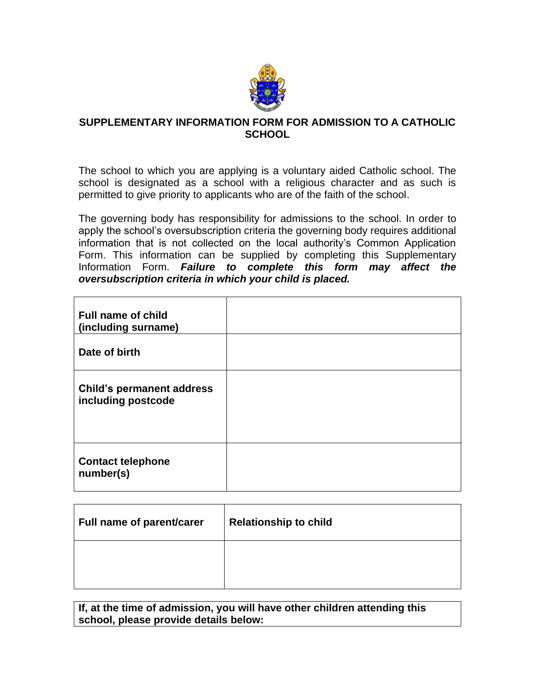

## **SUPPLEMENTARY INFORMATION FORM FOR ADMISSION TO A CATHOLIC SCHOOL**

The school to which you are applying is a voluntary aided Catholic school. The school is designated as a school with a religious character and as such is permitted to give priority to applicants who are of the faith of the school.

The governing body has responsibility for admissions to the school. In order to apply the school's oversubscription criteria the governing body requires additional information that is not collected on the local authority's Common Application Form. This information can be supplied by completing this Supplementary Information Form. *Failure to complete this form may affect the oversubscription criteria in which your child is placed.*

| <b>Full name of child</b><br>(including surname)       |  |
|--------------------------------------------------------|--|
| Date of birth                                          |  |
| <b>Child's permanent address</b><br>including postcode |  |
| <b>Contact telephone</b><br>number(s)                  |  |

| Full name of parent/carer | <b>Relationship to child</b> |
|---------------------------|------------------------------|
|                           |                              |

**If, at the time of admission, you will have other children attending this school, please provide details below:**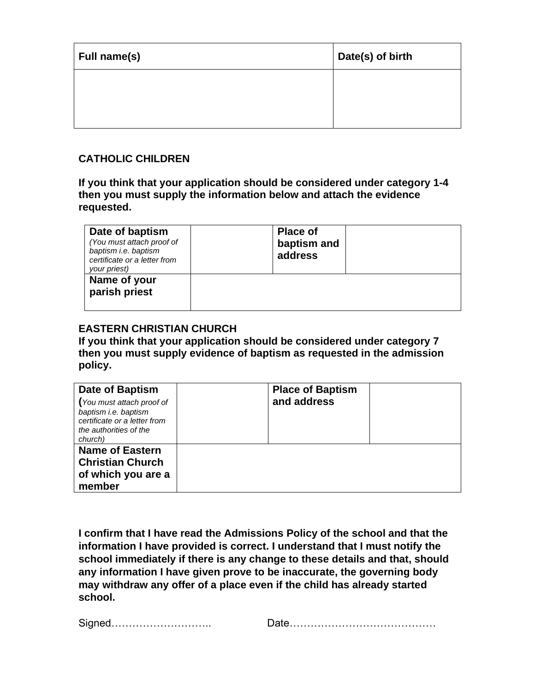| Full name(s) | Date(s) of birth |
|--------------|------------------|
|              |                  |
|              |                  |

## **CATHOLIC CHILDREN**

**If you think that your application should be considered under category 1-4 then you must supply the information below and attach the evidence requested.**

| Date of baptism<br>(You must attach proof of<br>baptism i.e. baptism<br>certificate or a letter from<br>your priest) | <b>Place of</b><br>baptism and<br>address |  |
|----------------------------------------------------------------------------------------------------------------------|-------------------------------------------|--|
| Name of your<br>parish priest                                                                                        |                                           |  |

## **EASTERN CHRISTIAN CHURCH**

**If you think that your application should be considered under category 7 then you must supply evidence of baptism as requested in the admission policy.**

| Date of Baptism<br>(You must attach proof of<br>baptism i.e. baptism<br>certificate or a letter from<br>the authorities of the<br>church) | <b>Place of Baptism</b><br>and address |  |
|-------------------------------------------------------------------------------------------------------------------------------------------|----------------------------------------|--|
| <b>Name of Eastern</b><br><b>Christian Church</b><br>of which you are a<br>member                                                         |                                        |  |

**I confirm that I have read the Admissions Policy of the school and that the information I have provided is correct. I understand that I must notify the school immediately if there is any change to these details and that, should any information I have given prove to be inaccurate, the governing body may withdraw any offer of a place even if the child has already started school.**

| <b>.</b><br>יוכ |  |
|-----------------|--|
|-----------------|--|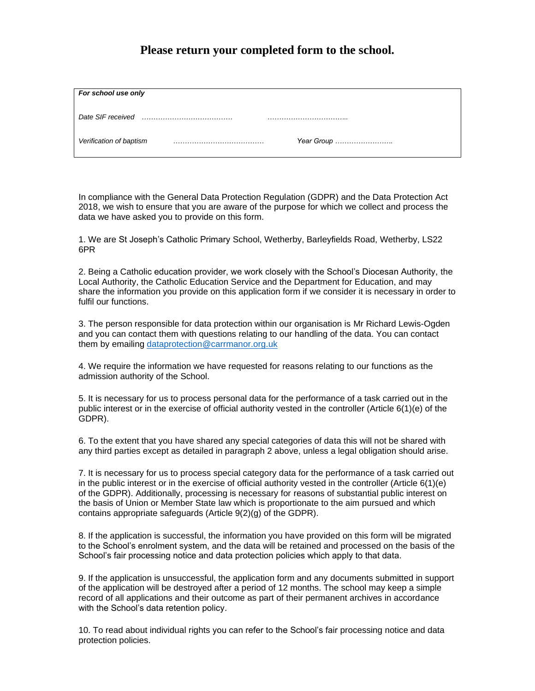## **Please return your completed form to the school.**

| For school use only     |            |
|-------------------------|------------|
| Date SIF received       |            |
| Verification of baptism | Year Group |

In compliance with the General Data Protection Regulation (GDPR) and the Data Protection Act 2018, we wish to ensure that you are aware of the purpose for which we collect and process the data we have asked you to provide on this form.

1. We are St Joseph's Catholic Primary School, Wetherby, Barleyfields Road, Wetherby, LS22 6PR

2. Being a Catholic education provider, we work closely with the School's Diocesan Authority, the Local Authority, the Catholic Education Service and the Department for Education, and may share the information you provide on this application form if we consider it is necessary in order to fulfil our functions.

3. The person responsible for data protection within our organisation is Mr Richard Lewis-Ogden and you can contact them with questions relating to our handling of the data. You can contact them by emailing [dataprotection@carrmanor.org.uk](mailto:dataprotection@carrmanor.org.uk)

4. We require the information we have requested for reasons relating to our functions as the admission authority of the School.

5. It is necessary for us to process personal data for the performance of a task carried out in the public interest or in the exercise of official authority vested in the controller (Article 6(1)(e) of the GDPR).

6. To the extent that you have shared any special categories of data this will not be shared with any third parties except as detailed in paragraph 2 above, unless a legal obligation should arise.

7. It is necessary for us to process special category data for the performance of a task carried out in the public interest or in the exercise of official authority vested in the controller (Article 6(1)(e) of the GDPR). Additionally, processing is necessary for reasons of substantial public interest on the basis of Union or Member State law which is proportionate to the aim pursued and which contains appropriate safeguards (Article 9(2)(g) of the GDPR).

8. If the application is successful, the information you have provided on this form will be migrated to the School's enrolment system, and the data will be retained and processed on the basis of the School's fair processing notice and data protection policies which apply to that data.

9. If the application is unsuccessful, the application form and any documents submitted in support of the application will be destroyed after a period of 12 months. The school may keep a simple record of all applications and their outcome as part of their permanent archives in accordance with the School's data retention policy.

10. To read about individual rights you can refer to the School's fair processing notice and data protection policies.